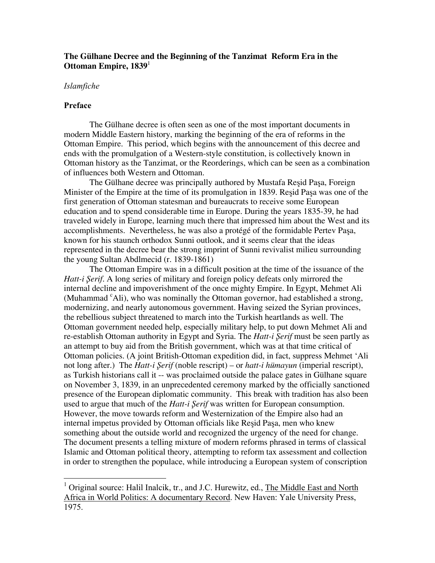# **The Gµlhane Decree and the Beginning of the Tanzimat Reform Era in the Ottoman Empire, 1839**

# *Islamfiche*

#### **Preface**

The Gülhane decree is often seen as one of the most important documents in modern Middle Eastern history, marking the beginning of the era of reforms in the Ottoman Empire. This period, which begins with the announcement of this decree and ends with the promulgation of a Western-style constitution, is collectively known in Ottoman history as the Tanzimat, or the Reorderings, which can be seen as a combination of influences both Western and Ottoman.

The Gülhane decree was principally authored by Mustafa Resid Pasa, Foreign Minister of the Empire at the time of its promulgation in 1839. Resid Pasa was one of the first generation of Ottoman statesman and bureaucrats to receive some European education and to spend considerable time in Europe. During the years 1835-39, he had traveled widely in Europe, learning much there that impressed him about the West and its accomplishments. Nevertheless, he was also a protégé of the formidable Pertev Paşa, known for his staunch orthodox Sunni outlook, and it seems clear that the ideas represented in the decree bear the strong imprint of Sunni revivalist milieu surrounding the young Sultan Abdlmecid (r. 1839-1861)

The Ottoman Empire was in a difficult position at the time of the issuance of the *Hatt-i Serif.* A long series of military and foreign policy defeats only mirrored the internal decline and impoverishment of the once mighty Empire. In Egypt, Mehmet Ali (Muhammad <sup>c</sup>Ali), who was nominally the Ottoman governor, had established a strong, modernizing, and nearly autonomous government. Having seized the Syrian provinces, the rebellious subject threatened to march into the Turkish heartlands as well. The Ottoman government needed help, especially military help, to put down Mehmet Ali and re-establish Ottoman authority in Egypt and Syria. The *Hatt-i Şerif* must be seen partly as an attempt to buy aid from the British government, which was at that time critical of Ottoman policies. (A joint British-Ottoman expedition did, in fact, suppress Mehmet 'Ali not long after.) The *Hatt-i Şerif* (noble rescript) – or *hatt-i humayun* (imperial rescript), as Turkish historians call it -- was proclaimed outside the palace gates in Gülhane square on November 3, 1839, in an unprecedented ceremony marked by the officially sanctioned presence of the European diplomatic community. This break with tradition has also been used to argue that much of the *Hatt-i Serif* was written for European consumption. However, the move towards reform and Westernization of the Empire also had an internal impetus provided by Ottoman officials like Resid Pasa, men who knew something about the outside world and recognized the urgency of the need for change. The document presents a telling mixture of modern reforms phrased in terms of classical Islamic and Ottoman political theory, attempting to reform tax assessment and collection in order to strengthen the populace, while introducing a European system of conscription

<sup>&</sup>lt;sup>1</sup> Original source: Halil Inalcik, tr., and J.C. Hurewitz, ed., <u>The Middle East and North</u> Africa in World Politics: A documentary Record. New Haven: Yale University Press, 1975.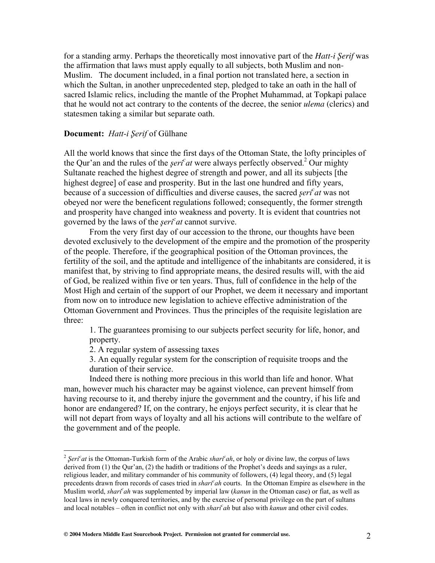for a standing army. Perhaps the theoretically most innovative part of the *Hatt-i Serif* was the affirmation that laws must apply equally to all subjects, both Muslim and non-Muslim. The document included, in a final portion not translated here, a section in which the Sultan, in another unprecedented step, pledged to take an oath in the hall of sacred Islamic relics, including the mantle of the Prophet Muhammad, at Topkapi palace that he would not act contrary to the contents of the decree, the senior *ulema* (clerics) and statesmen taking a similar but separate oath.

## **Document:** *Hatt-i Şerif* of Gülhane

All the world knows that since the first days of the Ottoman State, the lofty principles of the Qur'an and the rules of the *şeri<sup>c</sup>at* were always perfectly observed.<sup>2</sup> Our mighty Sultanate reached the highest degree of strength and power, and all its subjects [the highest degree] of ease and prosperity. But in the last one hundred and fifty years, because of a succession of difficulties and diverse causes, the sacred *seri<sup>c</sup>at* was not obeyed nor were the beneficent regulations followed; consequently, the former strength and prosperity have changed into weakness and poverty. It is evident that countries not governed by the laws of the *şeri<sup>c</sup>at* cannot survive.

From the very first day of our accession to the throne, our thoughts have been devoted exclusively to the development of the empire and the promotion of the prosperity of the people. Therefore, if the geographical position of the Ottoman provinces, the fertility of the soil, and the aptitude and intelligence of the inhabitants are considered, it is manifest that, by striving to find appropriate means, the desired results will, with the aid of God, be realized within five or ten years. Thus, full of confidence in the help of the Most High and certain of the support of our Prophet, we deem it necessary and important from now on to introduce new legislation to achieve effective administration of the Ottoman Government and Provinces. Thus the principles of the requisite legislation are three:

1. The guarantees promising to our subjects perfect security for life, honor, and property.

2. A regular system of assessing taxes

3. An equally regular system for the conscription of requisite troops and the duration of their service.

Indeed there is nothing more precious in this world than life and honor. What man, however much his character may be against violence, can prevent himself from having recourse to it, and thereby injure the government and the country, if his life and honor are endangered? If, on the contrary, he enjoys perfect security, it is clear that he will not depart from ways of loyalty and all his actions will contribute to the welfare of the government and of the people.

 <sup>2</sup> *≈Seri<sup>c</sup> at* is the Ottoman-Turkish form of the Arabic *sharic ah*, or holy or divine law, the corpus of laws derived from (1) the Qur'an, (2) the hadith or traditions of the Prophet's deeds and sayings as a ruler, religious leader, and military commander of his community of followers, (4) legal theory, and (5) legal precedents drawn from records of cases tried in *shari<sup>c</sup>ah* courts. In the Ottoman Empire as elsewhere in the *Muslim world, <i>shari*<sup>c</sup>ah was supplemented by imperial law (*kanun* in the Ottoman case) or fiat, as well as local laws in newly conquered territories, and by the exercise of personal privilege on the part of sultans and local notables – often in conflict not only with *sharic ah* but also with *kanun* and other civil codes.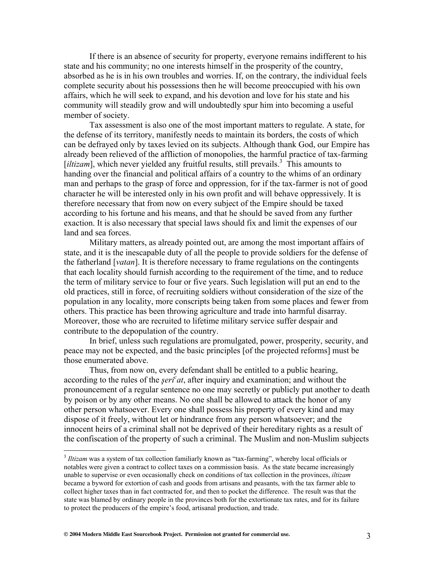If there is an absence of security for property, everyone remains indifferent to his state and his community; no one interests himself in the prosperity of the country, absorbed as he is in his own troubles and worries. If, on the contrary, the individual feels complete security about his possessions then he will become preoccupied with his own affairs, which he will seek to expand, and his devotion and love for his state and his community will steadily grow and will undoubtedly spur him into becoming a useful member of society.

Tax assessment is also one of the most important matters to regulate. A state, for the defense of its territory, manifestly needs to maintain its borders, the costs of which can be defrayed only by taxes levied on its subjects. Although thank God, our Empire has already been relieved of the affliction of monopolies, the harmful practice of tax-farming [*iltizam*], which never yielded any fruitful results, still prevails.<sup>3</sup> This amounts to handing over the financial and political affairs of a country to the whims of an ordinary man and perhaps to the grasp of force and oppression, for if the tax-farmer is not of good character he will be interested only in his own profit and will behave oppressively. It is therefore necessary that from now on every subject of the Empire should be taxed according to his fortune and his means, and that he should be saved from any further exaction. It is also necessary that special laws should fix and limit the expenses of our land and sea forces.

Military matters, as already pointed out, are among the most important affairs of state, and it is the inescapable duty of all the people to provide soldiers for the defense of the fatherland [*vatan*]. It is therefore necessary to frame regulations on the contingents that each locality should furnish according to the requirement of the time, and to reduce the term of military service to four or five years. Such legislation will put an end to the old practices, still in force, of recruiting soldiers without consideration of the size of the population in any locality, more conscripts being taken from some places and fewer from others. This practice has been throwing agriculture and trade into harmful disarray. Moreover, those who are recruited to lifetime military service suffer despair and contribute to the depopulation of the country.

In brief, unless such regulations are promulgated, power, prosperity, security, and peace may not be expected, and the basic principles [of the projected reforms] must be those enumerated above.

Thus, from now on, every defendant shall be entitled to a public hearing, according to the rules of the *şeri<sup>c</sup>at*, after inquiry and examination; and without the pronouncement of a regular sentence no one may secretly or publicly put another to death by poison or by any other means. No one shall be allowed to attack the honor of any other person whatsoever. Every one shall possess his property of every kind and may dispose of it freely, without let or hindrance from any person whatsoever; and the innocent heirs of a criminal shall not be deprived of their hereditary rights as a result of the confiscation of the property of such a criminal. The Muslim and non-Muslim subjects

 <sup>3</sup> *Iltizam* was a system of tax collection familiarly known as "tax-farming", whereby local officials or notables were given a contract to collect taxes on a commission basis. As the state became increasingly unable to supervise or even occasionally check on conditions of tax collection in the provinces, *iltizam* became a byword for extortion of cash and goods from artisans and peasants, with the tax farmer able to collect higher taxes than in fact contracted for, and then to pocket the difference. The result was that the state was blamed by ordinary people in the provinces both for the extortionate tax rates, and for its failure to protect the producers of the empire's food, artisanal production, and trade.